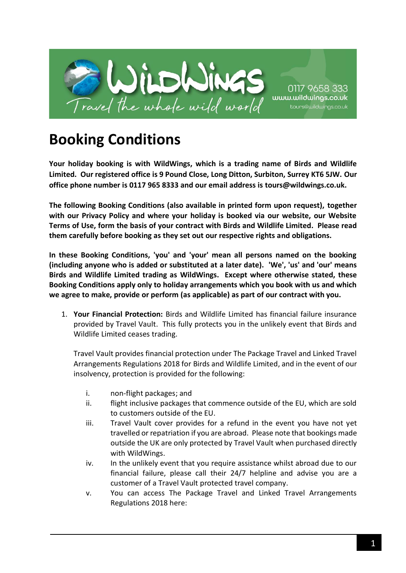

## **Booking Conditions**

**Your holiday booking is with WildWings, which is a trading name of Birds and Wildlife Limited. Our registered office is 9 Pound Close, Long Ditton, Surbiton, Surrey KT6 5JW. Our office phone number is 0117 965 8333 and our email address is tours@wildwings.co.uk.**

**The following Booking Conditions (also available in printed form upon request), together with our Privacy Policy and where your holiday is booked via our website, our Website Terms of Use, form the basis of your contract with Birds and Wildlife Limited. Please read them carefully before booking as they set out our respective rights and obligations.**

**In these Booking Conditions, 'you' and 'your' mean all persons named on the booking (including anyone who is added or substituted at a later date). 'We', 'us' and 'our' means Birds and Wildlife Limited trading as WildWings. Except where otherwise stated, these Booking Conditions apply only to holiday arrangements which you book with us and which we agree to make, provide or perform (as applicable) as part of our contract with you.**

1. **Your Financial Protection:** Birds and Wildlife Limited has financial failure insurance provided by Travel Vault. This fully protects you in the unlikely event that Birds and Wildlife Limited ceases trading.

Travel Vault provides financial protection under The Package Travel and Linked Travel Arrangements Regulations 2018 for Birds and Wildlife Limited, and in the event of our insolvency, protection is provided for the following:

- i. non-flight packages; and
- ii. flight inclusive packages that commence outside of the EU, which are sold to customers outside of the EU.
- iii. Travel Vault cover provides for a refund in the event you have not yet travelled or repatriation if you are abroad. Please note that bookings made outside the UK are only protected by Travel Vault when purchased directly with WildWings.
- iv. In the unlikely event that you require assistance whilst abroad due to our financial failure, please call their 24/7 helpline and advise you are a customer of a Travel Vault protected travel company.
- v. You can access The Package Travel and Linked Travel Arrangements Regulations 2018 here: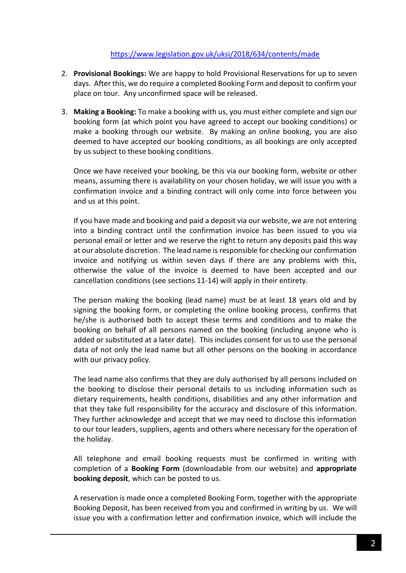## <https://www.legislation.gov.uk/uksi/2018/634/contents/made>

- 2. **Provisional Bookings:** We are happy to hold Provisional Reservations for up to seven days. After this, we do require a completed Booking Form and deposit to confirm your place on tour. Any unconfirmed space will be released.
- 3. **Making a Booking:** To make a booking with us, you must either complete and sign our booking form (at which point you have agreed to accept our booking conditions) or make a booking through our website. By making an online booking, you are also deemed to have accepted our booking conditions, as all bookings are only accepted by us subject to these booking conditions.

Once we have received your booking, be this via our booking form, website or other means, assuming there is availability on your chosen holiday, we will issue you with a confirmation invoice and a binding contract will only come into force between you and us at this point.

If you have made and booking and paid a deposit via our website, we are not entering into a binding contract until the confirmation invoice has been issued to you via personal email or letter and we reserve the right to return any deposits paid this way at our absolute discretion. The lead name is responsible for checking our confirmation invoice and notifying us within seven days if there are any problems with this, otherwise the value of the invoice is deemed to have been accepted and our cancellation conditions (see sections 11-14) will apply in their entirety.

The person making the booking (lead name) must be at least 18 years old and by signing the booking form, or completing the online booking process, confirms that he/she is authorised both to accept these terms and conditions and to make the booking on behalf of all persons named on the booking (including anyone who is added or substituted at a later date). This includes consent for us to use the personal data of not only the lead name but all other persons on the booking in accordance with our privacy policy.

The lead name also confirms that they are duly authorised by all persons included on the booking to disclose their personal details to us including information such as dietary requirements, health conditions, disabilities and any other information and that they take full responsibility for the accuracy and disclosure of this information. They further acknowledge and accept that we may need to disclose this information to our tour leaders, suppliers, agents and others where necessary for the operation of the holiday.

All telephone and email booking requests must be confirmed in writing with completion of a **Booking Form** (downloadable from our website) and **appropriate booking deposit**, which can be posted to us.

A reservation is made once a completed Booking Form, together with the appropriate Booking Deposit, has been received from you and confirmed in writing by us. We will issue you with a confirmation letter and confirmation invoice, which will include the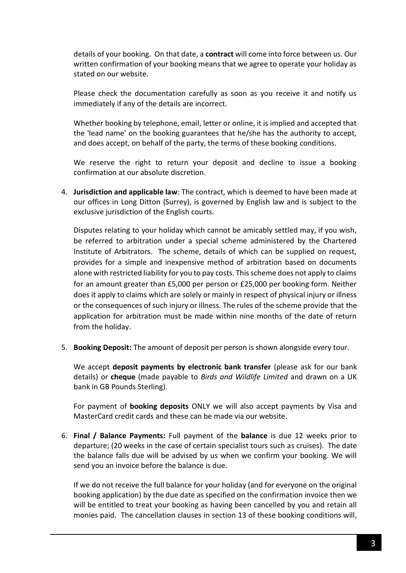details of your booking. On that date, a **contract** will come into force between us. Our written confirmation of your booking means that we agree to operate your holiday as stated on our website.

Please check the documentation carefully as soon as you receive it and notify us immediately if any of the details are incorrect.

Whether booking by telephone, email, letter or online, it is implied and accepted that the 'lead name' on the booking guarantees that he/she has the authority to accept, and does accept, on behalf of the party, the terms of these booking conditions.

We reserve the right to return your deposit and decline to issue a booking confirmation at our absolute discretion.

4. **Jurisdiction and applicable law**: The contract, which is deemed to have been made at our offices in Long Ditton (Surrey), is governed by English law and is subject to the exclusive jurisdiction of the English courts.

Disputes relating to your holiday which cannot be amicably settled may, if you wish, be referred to arbitration under a special scheme administered by the Chartered Institute of Arbitrators. The scheme, details of which can be supplied on request, provides for a simple and inexpensive method of arbitration based on documents alone with restricted liability for you to pay costs. This scheme does not apply to claims for an amount greater than £5,000 per person or £25,000 per booking form. Neither does it apply to claims which are solely or mainly in respect of physical injury or illness or the consequences of such injury or illness. The rules of the scheme provide that the application for arbitration must be made within nine months of the date of return from the holiday.

5. **Booking Deposit:** The amount of deposit per person is shown alongside every tour.

We accept **deposit payments by electronic bank transfer** (please ask for our bank details) or **cheque** (made payable to *Birds and Wildlife Limited* and drawn on a UK bank in GB Pounds Sterling).

For payment of **booking deposits** ONLY we will also accept payments by Visa and MasterCard credit cards and these can be made via our website.

6. **Final / Balance Payments:** Full payment of the **balance** is due 12 weeks prior to departure; (20 weeks in the case of certain specialist tours such as cruises). The date the balance falls due will be advised by us when we confirm your booking. We will send you an invoice before the balance is due.

If we do not receive the full balance for your holiday (and for everyone on the original booking application) by the due date as specified on the confirmation invoice then we will be entitled to treat your booking as having been cancelled by you and retain all monies paid. The cancellation clauses in section 13 of these booking conditions will,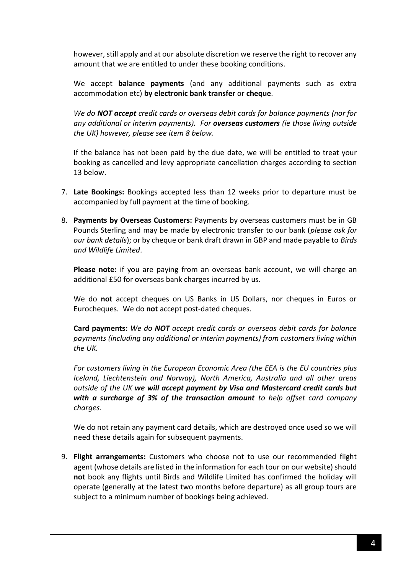however, still apply and at our absolute discretion we reserve the right to recover any amount that we are entitled to under these booking conditions.

We accept **balance payments** (and any additional payments such as extra accommodation etc) **by electronic bank transfer** or **cheque**.

*We do NOT accept credit cards or overseas debit cards for balance payments (nor for any additional or interim payments). For overseas customers (ie those living outside the UK) however, please see item 8 below.*

If the balance has not been paid by the due date, we will be entitled to treat your booking as cancelled and levy appropriate cancellation charges according to section 13 below.

- 7. **Late Bookings:** Bookings accepted less than 12 weeks prior to departure must be accompanied by full payment at the time of booking.
- 8. **Payments by Overseas Customers:** Payments by overseas customers must be in GB Pounds Sterling and may be made by electronic transfer to our bank (*please ask for our bank details*); or by cheque or bank draft drawn in GBP and made payable to *Birds and Wildlife Limited*.

**Please note:** if you are paying from an overseas bank account, we will charge an additional £50 for overseas bank charges incurred by us.

We do **not** accept cheques on US Banks in US Dollars, nor cheques in Euros or Eurocheques*.* We do **not** accept post-dated cheques.

**Card payments:** *We do NOT accept credit cards or overseas debit cards for balance payments (including any additional or interim payments) from customers living within the UK.*

*For customers living in the European Economic Area (the EEA is the EU countries plus Iceland, Liechtenstein and Norway), North America, Australia and all other areas outside of the UK we will accept payment by Visa and Mastercard credit cards but with a surcharge of 3% of the transaction amount to help offset card company charges.*

We do not retain any payment card details, which are destroyed once used so we will need these details again for subsequent payments.

9. **Flight arrangements:** Customers who choose not to use our recommended flight agent (whose details are listed in the information for each tour on our website) should **not** book any flights until Birds and Wildlife Limited has confirmed the holiday will operate (generally at the latest two months before departure) as all group tours are subject to a minimum number of bookings being achieved.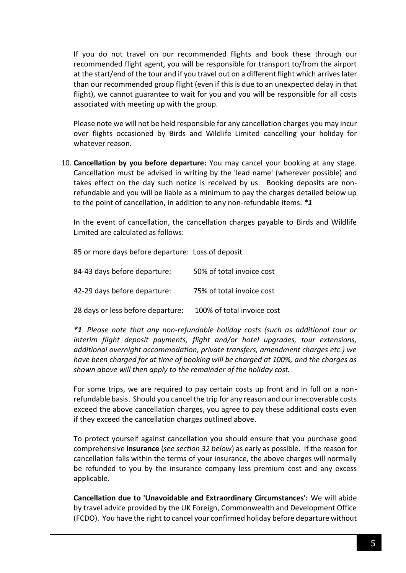If you do not travel on our recommended flights and book these through our recommended flight agent, you will be responsible for transport to/from the airport at the start/end of the tour and if you travel out on a different flight which arrives later than our recommended group flight (even if this is due to an unexpected delay in that flight), we cannot guarantee to wait for you and you will be responsible for all costs associated with meeting up with the group.

Please note we will not be held responsible for any cancellation charges you may incur over flights occasioned by Birds and Wildlife Limited cancelling your holiday for whatever reason.

10. **Cancellation by you before departure:** You may cancel your booking at any stage. Cancellation must be advised in writing by the 'lead name' (wherever possible) and takes effect on the day such notice is received by us. Booking deposits are nonrefundable and you will be liable as a minimum to pay the charges detailed below up to the point of cancellation, in addition to any non-refundable items. *\*1*

In the event of cancellation, the cancellation charges payable to Birds and Wildlife Limited are calculated as follows:

85 or more days before departure: Loss of deposit 84-43 days before departure: 50% of total invoice cost 42-29 days before departure: 75% of total invoice cost 28 days or less before departure: 100% of total invoice cost

*\*1 Please note that any non-refundable holiday costs (such as additional tour or interim flight deposit payments, flight and/or hotel upgrades, tour extensions, additional overnight accommodation, private transfers, amendment charges etc.) we have been charged for at time of booking will be charged at 100%, and the charges as shown above will then apply to the remainder of the holiday cost.*

For some trips, we are required to pay certain costs up front and in full on a nonrefundable basis. Should you cancel the trip for any reason and our irrecoverable costs exceed the above cancellation charges, you agree to pay these additional costs even if they exceed the cancellation charges outlined above.

To protect yourself against cancellation you should ensure that you purchase good comprehensive **insurance** (*see section 32 below*) as early as possible. If the reason for cancellation falls within the terms of your insurance, the above charges will normally be refunded to you by the insurance company less premium cost and any excess applicable.

**Cancellation due to 'Unavoidable and Extraordinary Circumstances':** We will abide by travel advice provided by the UK Foreign, Commonwealth and Development Office (FCDO). You have the right to cancel your confirmed holiday before departure without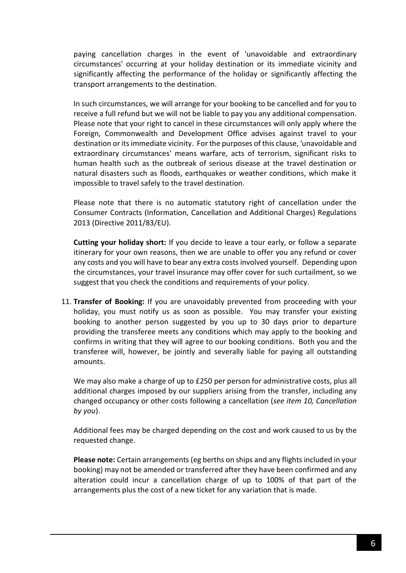paying cancellation charges in the event of 'unavoidable and extraordinary circumstances' occurring at your holiday destination or its immediate vicinity and significantly affecting the performance of the holiday or significantly affecting the transport arrangements to the destination.

In such circumstances, we will arrange for your booking to be cancelled and for you to receive a full refund but we will not be liable to pay you any additional compensation. Please note that your right to cancel in these circumstances will only apply where the Foreign, Commonwealth and Development Office advises against travel to your destination or its immediate vicinity. For the purposes of this clause, 'unavoidable and extraordinary circumstances' means warfare, acts of terrorism, significant risks to human health such as the outbreak of serious disease at the travel destination or natural disasters such as floods, earthquakes or weather conditions, which make it impossible to travel safely to the travel destination.

Please note that there is no automatic statutory right of cancellation under the Consumer Contracts (Information, Cancellation and Additional Charges) Regulations 2013 (Directive 2011/83/EU).

**Cutting your holiday short:** If you decide to leave a tour early, or follow a separate itinerary for your own reasons, then we are unable to offer you any refund or cover any costs and you will have to bear any extra costs involved yourself. Depending upon the circumstances, your travel insurance may offer cover for such curtailment, so we suggest that you check the conditions and requirements of your policy.

11. **Transfer of Booking:** If you are unavoidably prevented from proceeding with your holiday, you must notify us as soon as possible. You may transfer your existing booking to another person suggested by you up to 30 days prior to departure providing the transferee meets any conditions which may apply to the booking and confirms in writing that they will agree to our booking conditions. Both you and the transferee will, however, be jointly and severally liable for paying all outstanding amounts.

We may also make a charge of up to £250 per person for administrative costs, plus all additional charges imposed by our suppliers arising from the transfer, including any changed occupancy or other costs following a cancellation (*see item 10, Cancellation by you*).

Additional fees may be charged depending on the cost and work caused to us by the requested change.

**Please note:** Certain arrangements (eg berths on ships and any flights included in your booking) may not be amended or transferred after they have been confirmed and any alteration could incur a cancellation charge of up to 100% of that part of the arrangements plus the cost of a new ticket for any variation that is made.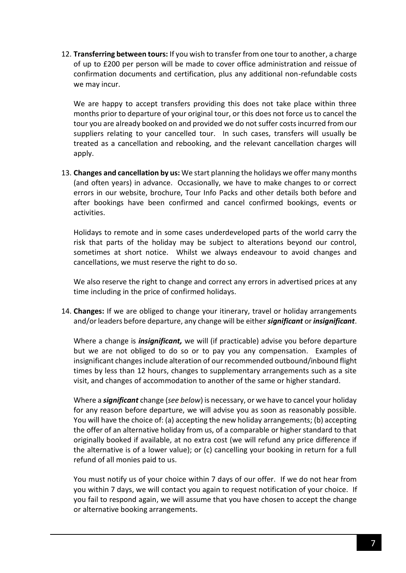12. **Transferring between tours:** If you wish to transfer from one tour to another, a charge of up to £200 per person will be made to cover office administration and reissue of confirmation documents and certification, plus any additional non-refundable costs we may incur.

We are happy to accept transfers providing this does not take place within three months prior to departure of your original tour, or this does not force us to cancel the tour you are already booked on and provided we do not suffer costs incurred from our suppliers relating to your cancelled tour. In such cases, transfers will usually be treated as a cancellation and rebooking, and the relevant cancellation charges will apply.

13. **Changes and cancellation by us:** We start planning the holidays we offer many months (and often years) in advance. Occasionally, we have to make changes to or correct errors in our website, brochure, Tour Info Packs and other details both before and after bookings have been confirmed and cancel confirmed bookings, events or activities.

Holidays to remote and in some cases underdeveloped parts of the world carry the risk that parts of the holiday may be subject to alterations beyond our control, sometimes at short notice. Whilst we always endeavour to avoid changes and cancellations, we must reserve the right to do so.

We also reserve the right to change and correct any errors in advertised prices at any time including in the price of confirmed holidays.

14. **Changes:** If we are obliged to change your itinerary, travel or holiday arrangements and/or leaders before departure, any change will be either *significant* or *insignificant*.

Where a change is *insignificant,* we will (if practicable) advise you before departure but we are not obliged to do so or to pay you any compensation. Examples of insignificant changes include alteration of our recommended outbound/inbound flight times by less than 12 hours, changes to supplementary arrangements such as a site visit, and changes of accommodation to another of the same or higher standard.

Where a *significant* change (*see below*) is necessary, or we have to cancel your holiday for any reason before departure, we will advise you as soon as reasonably possible. You will have the choice of: (a) accepting the new holiday arrangements; (b) accepting the offer of an alternative holiday from us, of a comparable or higher standard to that originally booked if available, at no extra cost (we will refund any price difference if the alternative is of a lower value); or (c) cancelling your booking in return for a full refund of all monies paid to us.

You must notify us of your choice within 7 days of our offer. If we do not hear from you within 7 days, we will contact you again to request notification of your choice. If you fail to respond again, we will assume that you have chosen to accept the change or alternative booking arrangements.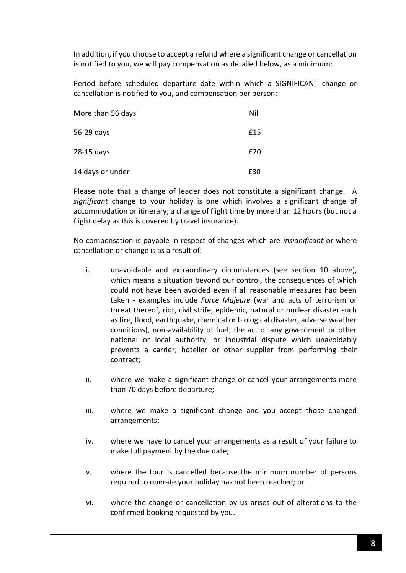In addition, if you choose to accept a refund where a significant change or cancellation is notified to you, we will pay compensation as detailed below, as a minimum:

Period before scheduled departure date within which a SIGNIFICANT change or cancellation is notified to you, and compensation per person:

| More than 56 days | Nil |
|-------------------|-----|
| 56-29 days        | £15 |
| 28-15 days        | £20 |
| 14 days or under  | £30 |

Please note that a change of leader does not constitute a significant change. A *significant* change to your holiday is one which involves a significant change of accommodation or itinerary; a change of flight time by more than 12 hours (but not a flight delay as this is covered by travel insurance).

No compensation is payable in respect of changes which are *insignificant* or where cancellation or change is as a result of:

- i. unavoidable and extraordinary circumstances (see section 10 above), which means a situation beyond our control, the consequences of which could not have been avoided even if all reasonable measures had been taken - examples include *Force Majeure* (war and acts of terrorism or threat thereof, riot, civil strife, epidemic, natural or nuclear disaster such as fire, flood, earthquake, chemical or biological disaster, adverse weather conditions), non-availability of fuel; the act of any government or other national or local authority, or industrial dispute which unavoidably prevents a carrier, hotelier or other supplier from performing their contract;
- ii. where we make a significant change or cancel your arrangements more than 70 days before departure;
- iii. where we make a significant change and you accept those changed arrangements;
- iv. where we have to cancel your arrangements as a result of your failure to make full payment by the due date;
- v. where the tour is cancelled because the minimum number of persons required to operate your holiday has not been reached; or
- vi. where the change or cancellation by us arises out of alterations to the confirmed booking requested by you.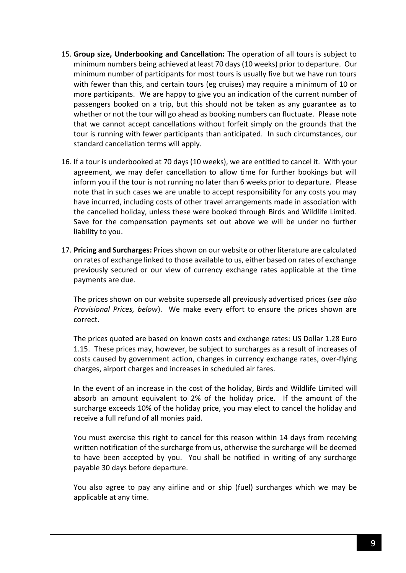- 15. **Group size, Underbooking and Cancellation:** The operation of all tours is subject to minimum numbers being achieved at least 70 days (10 weeks) prior to departure. Our minimum number of participants for most tours is usually five but we have run tours with fewer than this, and certain tours (eg cruises) may require a minimum of 10 or more participants. We are happy to give you an indication of the current number of passengers booked on a trip, but this should not be taken as any guarantee as to whether or not the tour will go ahead as booking numbers can fluctuate. Please note that we cannot accept cancellations without forfeit simply on the grounds that the tour is running with fewer participants than anticipated. In such circumstances, our standard cancellation terms will apply.
- 16. If a tour is underbooked at 70 days (10 weeks), we are entitled to cancel it. With your agreement, we may defer cancellation to allow time for further bookings but will inform you if the tour is not running no later than 6 weeks prior to departure. Please note that in such cases we are unable to accept responsibility for any costs you may have incurred, including costs of other travel arrangements made in association with the cancelled holiday, unless these were booked through Birds and Wildlife Limited. Save for the compensation payments set out above we will be under no further liability to you.
- 17. **Pricing and Surcharges:** Prices shown on our website or other literature are calculated on rates of exchange linked to those available to us, either based on rates of exchange previously secured or our view of currency exchange rates applicable at the time payments are due.

The prices shown on our website supersede all previously advertised prices (*see also Provisional Prices, below*). We make every effort to ensure the prices shown are correct.

The prices quoted are based on known costs and exchange rates: US Dollar 1.28 Euro 1.15. These prices may, however, be subject to surcharges as a result of increases of costs caused by government action, changes in currency exchange rates, over-flying charges, airport charges and increases in scheduled air fares.

In the event of an increase in the cost of the holiday, Birds and Wildlife Limited will absorb an amount equivalent to 2% of the holiday price. If the amount of the surcharge exceeds 10% of the holiday price, you may elect to cancel the holiday and receive a full refund of all monies paid.

You must exercise this right to cancel for this reason within 14 days from receiving written notification of the surcharge from us, otherwise the surcharge will be deemed to have been accepted by you. You shall be notified in writing of any surcharge payable 30 days before departure.

You also agree to pay any airline and or ship (fuel) surcharges which we may be applicable at any time.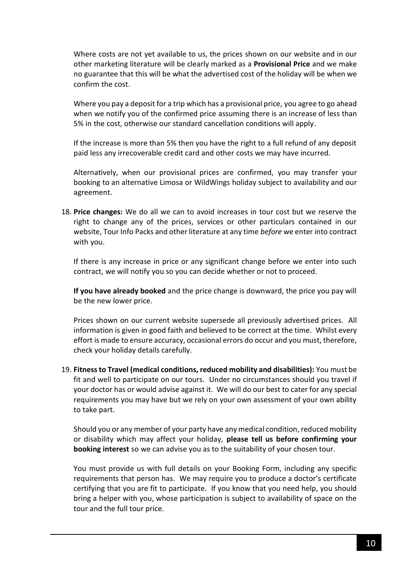Where costs are not yet available to us, the prices shown on our website and in our other marketing literature will be clearly marked as a **Provisional Price** and we make no guarantee that this will be what the advertised cost of the holiday will be when we confirm the cost.

Where you pay a deposit for a trip which has a provisional price, you agree to go ahead when we notify you of the confirmed price assuming there is an increase of less than 5% in the cost, otherwise our standard cancellation conditions will apply.

If the increase is more than 5% then you have the right to a full refund of any deposit paid less any irrecoverable credit card and other costs we may have incurred.

Alternatively, when our provisional prices are confirmed, you may transfer your booking to an alternative Limosa or WildWings holiday subject to availability and our agreement.

18. **Price changes:** We do all we can to avoid increases in tour cost but we reserve the right to change any of the prices, services or other particulars contained in our website, Tour Info Packs and other literature at any time *before* we enter into contract with you.

If there is any increase in price or any significant change before we enter into such contract, we will notify you so you can decide whether or not to proceed.

**If you have already booked** and the price change is downward, the price you pay will be the new lower price.

Prices shown on our current website supersede all previously advertised prices. All information is given in good faith and believed to be correct at the time. Whilst every effort is made to ensure accuracy, occasional errors do occur and you must, therefore, check your holiday details carefully.

19. **Fitness to Travel (medical conditions, reduced mobility and disabilities):** You must be fit and well to participate on our tours. Under no circumstances should you travel if your doctor has or would advise against it. We will do our best to cater for any special requirements you may have but we rely on your own assessment of your own ability to take part.

Should you or any member of your party have any medical condition, reduced mobility or disability which may affect your holiday, **please tell us before confirming your booking interest** so we can advise you as to the suitability of your chosen tour.

You must provide us with full details on your Booking Form, including any specific requirements that person has. We may require you to produce a doctor's certificate certifying that you are fit to participate. If you know that you need help, you should bring a helper with you, whose participation is subject to availability of space on the tour and the full tour price.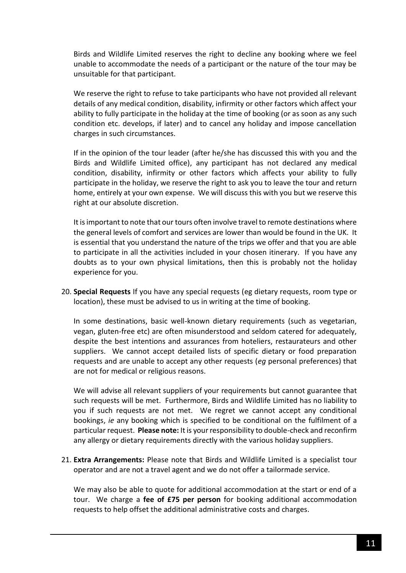Birds and Wildlife Limited reserves the right to decline any booking where we feel unable to accommodate the needs of a participant or the nature of the tour may be unsuitable for that participant.

We reserve the right to refuse to take participants who have not provided all relevant details of any medical condition, disability, infirmity or other factors which affect your ability to fully participate in the holiday at the time of booking (or as soon as any such condition etc. develops, if later) and to cancel any holiday and impose cancellation charges in such circumstances.

If in the opinion of the tour leader (after he/she has discussed this with you and the Birds and Wildlife Limited office), any participant has not declared any medical condition, disability, infirmity or other factors which affects your ability to fully participate in the holiday, we reserve the right to ask you to leave the tour and return home, entirely at your own expense. We will discuss this with you but we reserve this right at our absolute discretion.

It is important to note that our tours often involve travel to remote destinations where the general levels of comfort and services are lower than would be found in the UK. It is essential that you understand the nature of the trips we offer and that you are able to participate in all the activities included in your chosen itinerary. If you have any doubts as to your own physical limitations, then this is probably not the holiday experience for you.

20. **Special Requests** If you have any special requests (eg dietary requests, room type or location), these must be advised to us in writing at the time of booking.

In some destinations, basic well-known dietary requirements (such as vegetarian, vegan, gluten-free etc) are often misunderstood and seldom catered for adequately, despite the best intentions and assurances from hoteliers, restaurateurs and other suppliers. We cannot accept detailed lists of specific dietary or food preparation requests and are unable to accept any other requests (*eg* personal preferences) that are not for medical or religious reasons.

We will advise all relevant suppliers of your requirements but cannot guarantee that such requests will be met. Furthermore, Birds and Wildlife Limited has no liability to you if such requests are not met. We regret we cannot accept any conditional bookings, *ie* any booking which is specified to be conditional on the fulfilment of a particular request. **Please note:** It is your responsibility to double-check and reconfirm any allergy or dietary requirements directly with the various holiday suppliers.

21. **Extra Arrangements:** Please note that Birds and Wildlife Limited is a specialist tour operator and are not a travel agent and we do not offer a tailormade service.

We may also be able to quote for additional accommodation at the start or end of a tour. We charge a **fee of £75 per person** for booking additional accommodation requests to help offset the additional administrative costs and charges.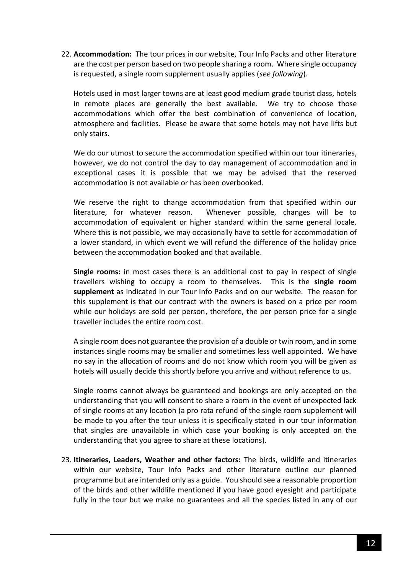22. **Accommodation:** The tour prices in our website, Tour Info Packs and other literature are the cost per person based on two people sharing a room. Where single occupancy is requested, a single room supplement usually applies (*see following*).

Hotels used in most larger towns are at least good medium grade tourist class, hotels in remote places are generally the best available. We try to choose those accommodations which offer the best combination of convenience of location, atmosphere and facilities. Please be aware that some hotels may not have lifts but only stairs.

We do our utmost to secure the accommodation specified within our tour itineraries, however, we do not control the day to day management of accommodation and in exceptional cases it is possible that we may be advised that the reserved accommodation is not available or has been overbooked.

We reserve the right to change accommodation from that specified within our literature, for whatever reason. Whenever possible, changes will be to accommodation of equivalent or higher standard within the same general locale. Where this is not possible, we may occasionally have to settle for accommodation of a lower standard, in which event we will refund the difference of the holiday price between the accommodation booked and that available.

**Single rooms:** in most cases there is an additional cost to pay in respect of single travellers wishing to occupy a room to themselves. This is the **single room supplement** as indicated in our Tour Info Packs and on our website. The reason for this supplement is that our contract with the owners is based on a price per room while our holidays are sold per person, therefore, the per person price for a single traveller includes the entire room cost.

A single room does not guarantee the provision of a double or twin room, and in some instances single rooms may be smaller and sometimes less well appointed. We have no say in the allocation of rooms and do not know which room you will be given as hotels will usually decide this shortly before you arrive and without reference to us.

Single rooms cannot always be guaranteed and bookings are only accepted on the understanding that you will consent to share a room in the event of unexpected lack of single rooms at any location (a pro rata refund of the single room supplement will be made to you after the tour unless it is specifically stated in our tour information that singles are unavailable in which case your booking is only accepted on the understanding that you agree to share at these locations).

23. **Itineraries, Leaders, Weather and other factors:** The birds, wildlife and itineraries within our website, Tour Info Packs and other literature outline our planned programme but are intended only as a guide. You should see a reasonable proportion of the birds and other wildlife mentioned if you have good eyesight and participate fully in the tour but we make no guarantees and all the species listed in any of our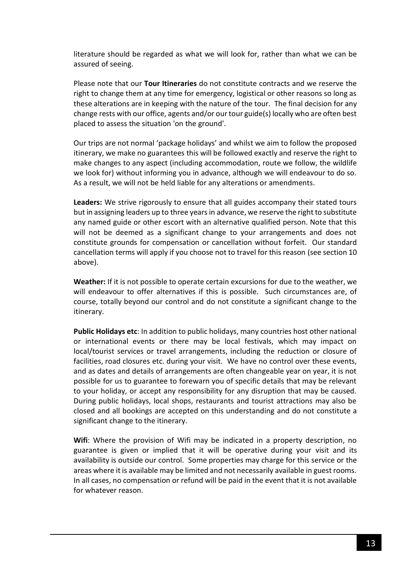literature should be regarded as what we will look for, rather than what we can be assured of seeing.

Please note that our **Tour Itineraries** do not constitute contracts and we reserve the right to change them at any time for emergency, logistical or other reasons so long as these alterations are in keeping with the nature of the tour. The final decision for any change rests with our office, agents and/or our tour guide(s) locally who are often best placed to assess the situation 'on the ground'.

Our trips are not normal 'package holidays' and whilst we aim to follow the proposed itinerary, we make no guarantees this will be followed exactly and reserve the right to make changes to any aspect (including accommodation, route we follow, the wildlife we look for) without informing you in advance, although we will endeavour to do so. As a result, we will not be held liable for any alterations or amendments.

**Leaders:** We strive rigorously to ensure that all guides accompany their stated tours but in assigning leaders up to three yearsin advance, we reserve the right to substitute any named guide or other escort with an alternative qualified person. Note that this will not be deemed as a significant change to your arrangements and does not constitute grounds for compensation or cancellation without forfeit. Our standard cancellation terms will apply if you choose not to travel for this reason (see section 10 above).

**Weather:** If it is not possible to operate certain excursions for due to the weather, we will endeavour to offer alternatives if this is possible. Such circumstances are, of course, totally beyond our control and do not constitute a significant change to the itinerary.

**Public Holidays etc**: In addition to public holidays, many countries host other national or international events or there may be local festivals, which may impact on local/tourist services or travel arrangements, including the reduction or closure of facilities, road closures etc. during your visit. We have no control over these events, and as dates and details of arrangements are often changeable year on year, it is not possible for us to guarantee to forewarn you of specific details that may be relevant to your holiday, or accept any responsibility for any disruption that may be caused. During public holidays, local shops, restaurants and tourist attractions may also be closed and all bookings are accepted on this understanding and do not constitute a significant change to the itinerary.

**Wifi**: Where the provision of Wifi may be indicated in a property description, no guarantee is given or implied that it will be operative during your visit and its availability is outside our control. Some properties may charge for this service or the areas where it is available may be limited and not necessarily available in guest rooms. In all cases, no compensation or refund will be paid in the event that it is not available for whatever reason.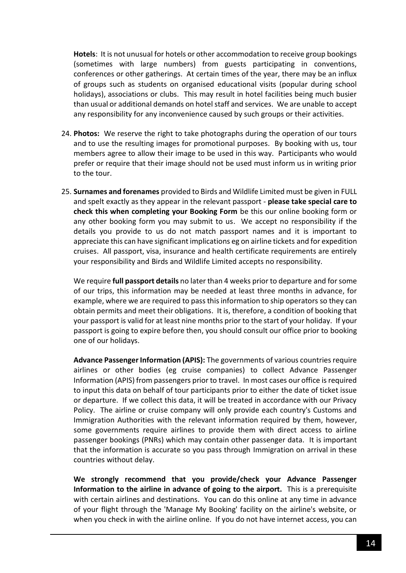**Hotels**: It is not unusual for hotels or other accommodation to receive group bookings (sometimes with large numbers) from guests participating in conventions, conferences or other gatherings. At certain times of the year, there may be an influx of groups such as students on organised educational visits (popular during school holidays), associations or clubs. This may result in hotel facilities being much busier than usual or additional demands on hotel staff and services. We are unable to accept any responsibility for any inconvenience caused by such groups or their activities.

- 24. **Photos:** We reserve the right to take photographs during the operation of our tours and to use the resulting images for promotional purposes. By booking with us, tour members agree to allow their image to be used in this way. Participants who would prefer or require that their image should not be used must inform us in writing prior to the tour.
- 25. **Surnames and forenames** provided to Birds and Wildlife Limited must be given in FULL and spelt exactly as they appear in the relevant passport - **please take special care to check this when completing your Booking Form** be this our online booking form or any other booking form you may submit to us. We accept no responsibility if the details you provide to us do not match passport names and it is important to appreciate this can have significant implications eg on airline tickets and for expedition cruises. All passport, visa, insurance and health certificate requirements are entirely your responsibility and Birds and Wildlife Limited accepts no responsibility.

We require **full passport details** no later than 4 weeks prior to departure and for some of our trips, this information may be needed at least three months in advance, for example, where we are required to pass this information to ship operators so they can obtain permits and meet their obligations. It is, therefore, a condition of booking that your passport is valid for at least nine months prior to the start of your holiday. If your passport is going to expire before then, you should consult our office prior to booking one of our holidays.

**Advance Passenger Information (APIS):** The governments of various countries require airlines or other bodies (eg cruise companies) to collect Advance Passenger Information (APIS) from passengers prior to travel. In most cases our office is required to input this data on behalf of tour participants prior to either the date of ticket issue or departure. If we collect this data, it will be treated in accordance with our Privacy Policy. The airline or cruise company will only provide each country's Customs and Immigration Authorities with the relevant information required by them, however, some governments require airlines to provide them with direct access to airline passenger bookings (PNRs) which may contain other passenger data. It is important that the information is accurate so you pass through Immigration on arrival in these countries without delay.

**We strongly recommend that you provide/check your Advance Passenger Information to the airline in advance of going to the airport.** This is a prerequisite with certain airlines and destinations. You can do this online at any time in advance of your flight through the 'Manage My Booking' facility on the airline's website, or when you check in with the airline online. If you do not have internet access, you can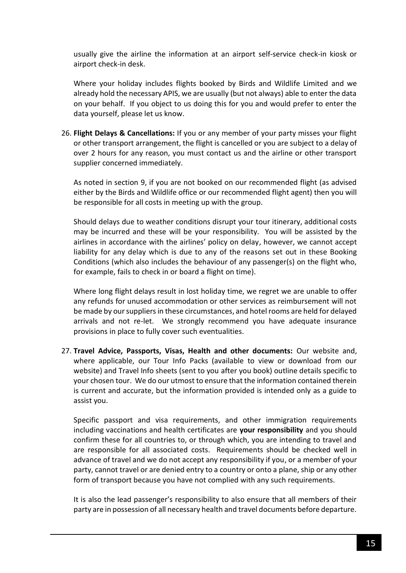usually give the airline the information at an airport self-service check-in kiosk or airport check-in desk.

Where your holiday includes flights booked by Birds and Wildlife Limited and we already hold the necessary APIS, we are usually (but not always) able to enter the data on your behalf. If you object to us doing this for you and would prefer to enter the data yourself, please let us know.

26. **Flight Delays & Cancellations:** If you or any member of your party misses your flight or other transport arrangement, the flight is cancelled or you are subject to a delay of over 2 hours for any reason, you must contact us and the airline or other transport supplier concerned immediately.

As noted in section 9, if you are not booked on our recommended flight (as advised either by the Birds and Wildlife office or our recommended flight agent) then you will be responsible for all costs in meeting up with the group.

Should delays due to weather conditions disrupt your tour itinerary, additional costs may be incurred and these will be your responsibility. You will be assisted by the airlines in accordance with the airlines' policy on delay, however, we cannot accept liability for any delay which is due to any of the reasons set out in these Booking Conditions (which also includes the behaviour of any passenger(s) on the flight who, for example, fails to check in or board a flight on time).

Where long flight delays result in lost holiday time, we regret we are unable to offer any refunds for unused accommodation or other services as reimbursement will not be made by our suppliers in these circumstances, and hotel rooms are held for delayed arrivals and not re-let. We strongly recommend you have adequate insurance provisions in place to fully cover such eventualities.

27. **Travel Advice, Passports, Visas, Health and other documents:** Our website and, where applicable, our Tour Info Packs (available to view or download from our website) and Travel Info sheets (sent to you after you book) outline details specific to your chosen tour. We do our utmost to ensure that the information contained therein is current and accurate, but the information provided is intended only as a guide to assist you.

Specific passport and visa requirements, and other immigration requirements including vaccinations and health certificates are **your responsibility** and you should confirm these for all countries to, or through which, you are intending to travel and are responsible for all associated costs. Requirements should be checked well in advance of travel and we do not accept any responsibility if you, or a member of your party, cannot travel or are denied entry to a country or onto a plane, ship or any other form of transport because you have not complied with any such requirements.

It is also the lead passenger's responsibility to also ensure that all members of their party are in possession of all necessary health and travel documents before departure.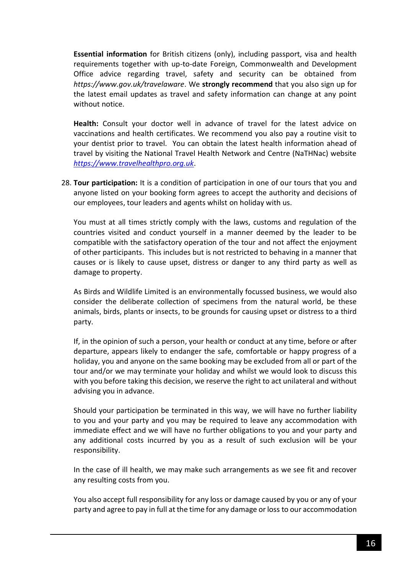**Essential information** for British citizens (only), including passport, visa and health requirements together with up-to-date Foreign, Commonwealth and Development Office advice regarding travel, safety and security can be obtained from *https://www.gov.uk/travelaware*. We **strongly recommend** that you also sign up for the latest email updates as travel and safety information can change at any point without notice.

**Health:** Consult your doctor well in advance of travel for the latest advice on vaccinations and health certificates. We recommend you also pay a routine visit to your dentist prior to travel. You can obtain the latest health information ahead of travel by visiting the National Travel Health Network and Centre (NaTHNac) website *[https://www.travelhealthpro.org.uk](https://www.travelhealthpro.org.uk/)*.

28. **Tour participation:** It is a condition of participation in one of our tours that you and anyone listed on your booking form agrees to accept the authority and decisions of our employees, tour leaders and agents whilst on holiday with us.

You must at all times strictly comply with the laws, customs and regulation of the countries visited and conduct yourself in a manner deemed by the leader to be compatible with the satisfactory operation of the tour and not affect the enjoyment of other participants. This includes but is not restricted to behaving in a manner that causes or is likely to cause upset, distress or danger to any third party as well as damage to property.

As Birds and Wildlife Limited is an environmentally focussed business, we would also consider the deliberate collection of specimens from the natural world, be these animals, birds, plants or insects, to be grounds for causing upset or distress to a third party.

If, in the opinion of such a person, your health or conduct at any time, before or after departure, appears likely to endanger the safe, comfortable or happy progress of a holiday, you and anyone on the same booking may be excluded from all or part of the tour and/or we may terminate your holiday and whilst we would look to discuss this with you before taking this decision, we reserve the right to act unilateral and without advising you in advance.

Should your participation be terminated in this way, we will have no further liability to you and your party and you may be required to leave any accommodation with immediate effect and we will have no further obligations to you and your party and any additional costs incurred by you as a result of such exclusion will be your responsibility.

In the case of ill health, we may make such arrangements as we see fit and recover any resulting costs from you.

You also accept full responsibility for any loss or damage caused by you or any of your party and agree to pay in full at the time for any damage or loss to our accommodation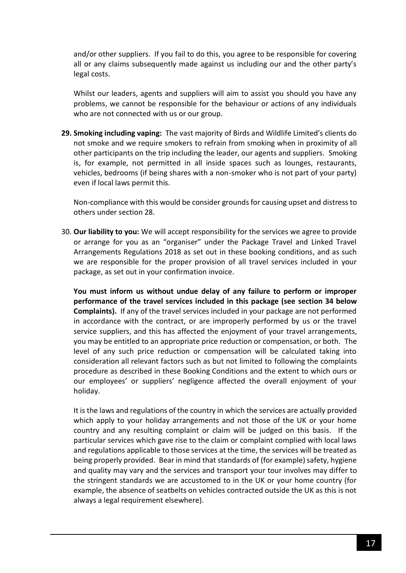and/or other suppliers. If you fail to do this, you agree to be responsible for covering all or any claims subsequently made against us including our and the other party's legal costs.

Whilst our leaders, agents and suppliers will aim to assist you should you have any problems, we cannot be responsible for the behaviour or actions of any individuals who are not connected with us or our group.

**29. Smoking including vaping:** The vast majority of Birds and Wildlife Limited's clients do not smoke and we require smokers to refrain from smoking when in proximity of all other participants on the trip including the leader, our agents and suppliers. Smoking is, for example, not permitted in all inside spaces such as lounges, restaurants, vehicles, bedrooms (if being shares with a non-smoker who is not part of your party) even if local laws permit this.

Non-compliance with this would be consider grounds for causing upset and distress to others under section 28.

30. **Our liability to you:** We will accept responsibility for the services we agree to provide or arrange for you as an "organiser" under the Package Travel and Linked Travel Arrangements Regulations 2018 as set out in these booking conditions, and as such we are responsible for the proper provision of all travel services included in your package, as set out in your confirmation invoice.

**You must inform us without undue delay of any failure to perform or improper performance of the travel services included in this package (see section 34 below Complaints).** If any of the travel services included in your package are not performed in accordance with the contract, or are improperly performed by us or the travel service suppliers, and this has affected the enjoyment of your travel arrangements, you may be entitled to an appropriate price reduction or compensation, or both. The level of any such price reduction or compensation will be calculated taking into consideration all relevant factors such as but not limited to following the complaints procedure as described in these Booking Conditions and the extent to which ours or our employees' or suppliers' negligence affected the overall enjoyment of your holiday.

It is the laws and regulations of the country in which the services are actually provided which apply to your holiday arrangements and not those of the UK or your home country and any resulting complaint or claim will be judged on this basis. If the particular services which gave rise to the claim or complaint complied with local laws and regulations applicable to those services at the time, the services will be treated as being properly provided. Bear in mind that standards of (for example) safety, hygiene and quality may vary and the services and transport your tour involves may differ to the stringent standards we are accustomed to in the UK or your home country (for example, the absence of seatbelts on vehicles contracted outside the UK as this is not always a legal requirement elsewhere).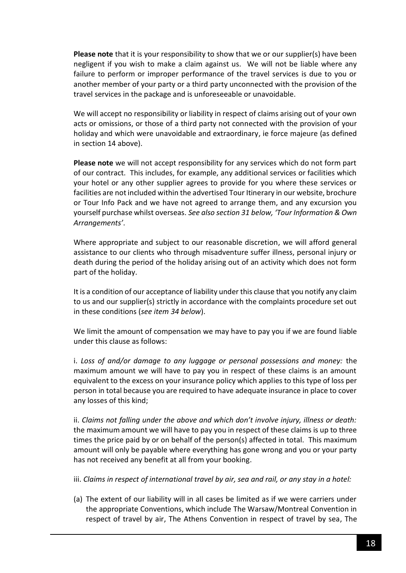**Please note** that it is your responsibility to show that we or our supplier(s) have been negligent if you wish to make a claim against us. We will not be liable where any failure to perform or improper performance of the travel services is due to you or another member of your party or a third party unconnected with the provision of the travel services in the package and is unforeseeable or unavoidable.

We will accept no responsibility or liability in respect of claims arising out of your own acts or omissions, or those of a third party not connected with the provision of your holiday and which were unavoidable and extraordinary, ie force majeure (as defined in section 14 above).

**Please note** we will not accept responsibility for any services which do not form part of our contract. This includes, for example, any additional services or facilities which your hotel or any other supplier agrees to provide for you where these services or facilities are not included within the advertised Tour Itinerary in our website, brochure or Tour Info Pack and we have not agreed to arrange them, and any excursion you yourself purchase whilst overseas. *See also section 31 below, 'Tour Information & Own Arrangements'*.

Where appropriate and subject to our reasonable discretion, we will afford general assistance to our clients who through misadventure suffer illness, personal injury or death during the period of the holiday arising out of an activity which does not form part of the holiday.

It is a condition of our acceptance of liability under this clause that you notify any claim to us and our supplier(s) strictly in accordance with the complaints procedure set out in these conditions (*see item 34 below*).

We limit the amount of compensation we may have to pay you if we are found liable under this clause as follows:

i. *Loss of and/or damage to any luggage or personal possessions and money:* the maximum amount we will have to pay you in respect of these claims is an amount equivalent to the excess on your insurance policy which applies to this type of loss per person in total because you are required to have adequate insurance in place to cover any losses of this kind;

ii. *Claims not falling under the above and which don't involve injury, illness or death:* the maximum amount we will have to pay you in respect of these claims is up to three times the price paid by or on behalf of the person(s) affected in total. This maximum amount will only be payable where everything has gone wrong and you or your party has not received any benefit at all from your booking.

iii. *Claims in respect of international travel by air, sea and rail, or any stay in a hotel:*

(a) The extent of our liability will in all cases be limited as if we were carriers under the appropriate Conventions, which include The Warsaw/Montreal Convention in respect of travel by air, The Athens Convention in respect of travel by sea, The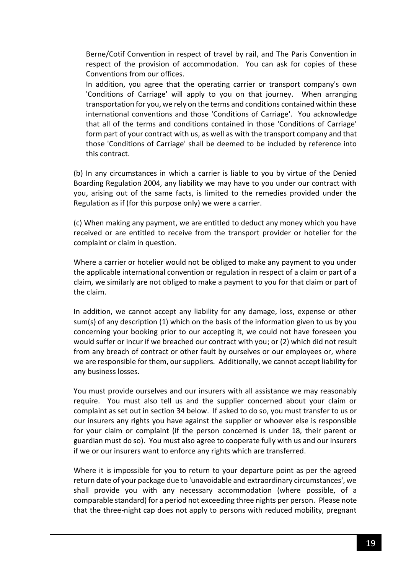Berne/Cotif Convention in respect of travel by rail, and The Paris Convention in respect of the provision of accommodation. You can ask for copies of these Conventions from our offices.

In addition, you agree that the operating carrier or transport company's own 'Conditions of Carriage' will apply to you on that journey. When arranging transportation for you, we rely on the terms and conditions contained within these international conventions and those 'Conditions of Carriage'. You acknowledge that all of the terms and conditions contained in those 'Conditions of Carriage' form part of your contract with us, as well as with the transport company and that those 'Conditions of Carriage' shall be deemed to be included by reference into this contract.

(b) In any circumstances in which a carrier is liable to you by virtue of the Denied Boarding Regulation 2004, any liability we may have to you under our contract with you, arising out of the same facts, is limited to the remedies provided under the Regulation as if (for this purpose only) we were a carrier.

(c) When making any payment, we are entitled to deduct any money which you have received or are entitled to receive from the transport provider or hotelier for the complaint or claim in question.

Where a carrier or hotelier would not be obliged to make any payment to you under the applicable international convention or regulation in respect of a claim or part of a claim, we similarly are not obliged to make a payment to you for that claim or part of the claim.

In addition, we cannot accept any liability for any damage, loss, expense or other sum(s) of any description (1) which on the basis of the information given to us by you concerning your booking prior to our accepting it, we could not have foreseen you would suffer or incur if we breached our contract with you; or (2) which did not result from any breach of contract or other fault by ourselves or our employees or, where we are responsible for them, our suppliers. Additionally, we cannot accept liability for any business losses.

You must provide ourselves and our insurers with all assistance we may reasonably require. You must also tell us and the supplier concerned about your claim or complaint as set out in section 34 below. If asked to do so, you must transfer to us or our insurers any rights you have against the supplier or whoever else is responsible for your claim or complaint (if the person concerned is under 18, their parent or guardian must do so). You must also agree to cooperate fully with us and our insurers if we or our insurers want to enforce any rights which are transferred.

Where it is impossible for you to return to your departure point as per the agreed return date of your package due to 'unavoidable and extraordinary circumstances', we shall provide you with any necessary accommodation (where possible, of a comparable standard) for a period not exceeding three nights per person. Please note that the three-night cap does not apply to persons with reduced mobility, pregnant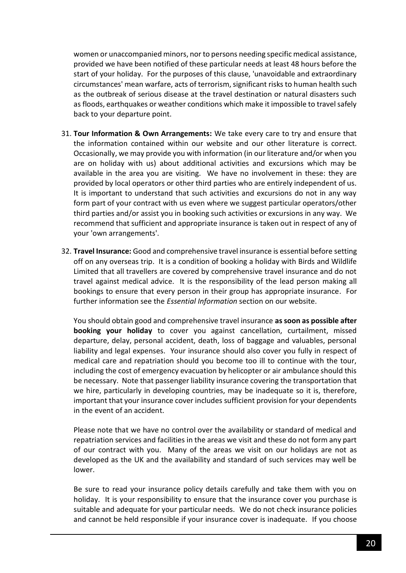women or unaccompanied minors, nor to persons needing specific medical assistance, provided we have been notified of these particular needs at least 48 hours before the start of your holiday. For the purposes of this clause, 'unavoidable and extraordinary circumstances' mean warfare, acts of terrorism, significant risks to human health such as the outbreak of serious disease at the travel destination or natural disasters such as floods, earthquakes or weather conditions which make it impossible to travel safely back to your departure point.

- 31. **Tour Information & Own Arrangements:** We take every care to try and ensure that the information contained within our website and our other literature is correct. Occasionally, we may provide you with information (in our literature and/or when you are on holiday with us) about additional activities and excursions which may be available in the area you are visiting. We have no involvement in these: they are provided by local operators or other third parties who are entirely independent of us. It is important to understand that such activities and excursions do not in any way form part of your contract with us even where we suggest particular operators/other third parties and/or assist you in booking such activities or excursions in any way. We recommend that sufficient and appropriate insurance is taken out in respect of any of your 'own arrangements'.
- 32. **Travel Insurance:** Good and comprehensive travel insurance is essential before setting off on any overseas trip. It is a condition of booking a holiday with Birds and Wildlife Limited that all travellers are covered by comprehensive travel insurance and do not travel against medical advice. It is the responsibility of the lead person making all bookings to ensure that every person in their group has appropriate insurance. For further information see the *Essential Information* section on our website.

You should obtain good and comprehensive travel insurance **as soon as possible after booking your holiday** to cover you against cancellation, curtailment, missed departure, delay, personal accident, death, loss of baggage and valuables, personal liability and legal expenses. Your insurance should also cover you fully in respect of medical care and repatriation should you become too ill to continue with the tour, including the cost of emergency evacuation by helicopter or air ambulance should this be necessary. Note that passenger liability insurance covering the transportation that we hire, particularly in developing countries, may be inadequate so it is, therefore, important that your insurance cover includes sufficient provision for your dependents in the event of an accident.

Please note that we have no control over the availability or standard of medical and repatriation services and facilities in the areas we visit and these do not form any part of our contract with you. Many of the areas we visit on our holidays are not as developed as the UK and the availability and standard of such services may well be lower.

Be sure to read your insurance policy details carefully and take them with you on holiday. It is your responsibility to ensure that the insurance cover you purchase is suitable and adequate for your particular needs. We do not check insurance policies and cannot be held responsible if your insurance cover is inadequate. If you choose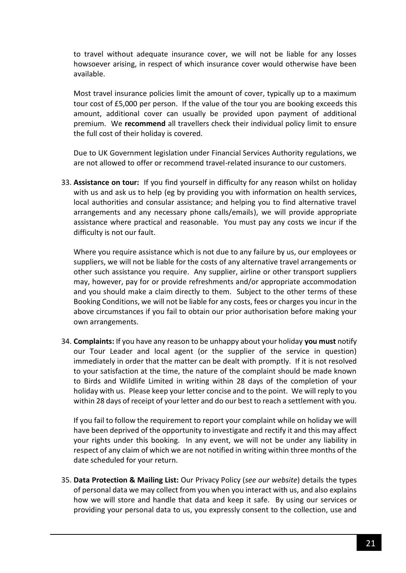to travel without adequate insurance cover, we will not be liable for any losses howsoever arising, in respect of which insurance cover would otherwise have been available.

Most travel insurance policies limit the amount of cover, typically up to a maximum tour cost of £5,000 per person. If the value of the tour you are booking exceeds this amount, additional cover can usually be provided upon payment of additional premium. We **recommend** all travellers check their individual policy limit to ensure the full cost of their holiday is covered.

Due to UK Government legislation under Financial Services Authority regulations, we are not allowed to offer or recommend travel-related insurance to our customers.

33. **Assistance on tour:** If you find yourself in difficulty for any reason whilst on holiday with us and ask us to help (eg by providing you with information on health services, local authorities and consular assistance; and helping you to find alternative travel arrangements and any necessary phone calls/emails), we will provide appropriate assistance where practical and reasonable. You must pay any costs we incur if the difficulty is not our fault.

Where you require assistance which is not due to any failure by us, our employees or suppliers, we will not be liable for the costs of any alternative travel arrangements or other such assistance you require. Any supplier, airline or other transport suppliers may, however, pay for or provide refreshments and/or appropriate accommodation and you should make a claim directly to them. Subject to the other terms of these Booking Conditions, we will not be liable for any costs, fees or charges you incur in the above circumstances if you fail to obtain our prior authorisation before making your own arrangements.

34. **Complaints:** If you have any reason to be unhappy about your holiday **you must** notify our Tour Leader and local agent (or the supplier of the service in question) immediately in order that the matter can be dealt with promptly. If it is not resolved to your satisfaction at the time, the nature of the complaint should be made known to Birds and Wildlife Limited in writing within 28 days of the completion of your holiday with us. Please keep your letter concise and to the point. We will reply to you within 28 days of receipt of your letter and do our best to reach a settlement with you.

If you fail to follow the requirement to report your complaint while on holiday we will have been deprived of the opportunity to investigate and rectify it and this may affect your rights under this booking. In any event, we will not be under any liability in respect of any claim of which we are not notified in writing within three months of the date scheduled for your return.

35. **Data Protection & Mailing List:** Our Privacy Policy (*see our website*) details the types of personal data we may collect from you when you interact with us, and also explains how we will store and handle that data and keep it safe. By using our services or providing your personal data to us, you expressly consent to the collection, use and